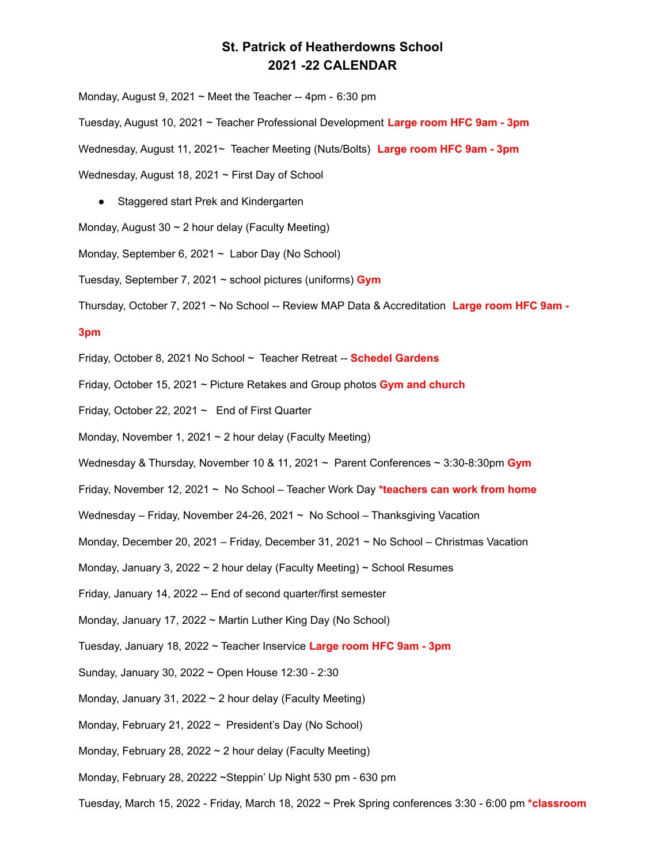## **St. Patrick of Heatherdowns School 2021 -22 CALENDAR**

Monday, August 9, 2021  $\sim$  Meet the Teacher -- 4pm - 6:30 pm

Tuesday, August 10, 2021 ~ Teacher Professional Development **Large room HFC 9am - 3pm**

Wednesday, August 11, 2021~ Teacher Meeting (Nuts/Bolts) **Large room HFC 9am - 3pm**

Wednesday, August 18, 2021 ~ First Day of School

● Staggered start Prek and Kindergarten

Monday, August 30  $\sim$  2 hour delay (Faculty Meeting)

Monday, September 6, 2021  $\sim$  Labor Day (No School)

Tuesday, September 7, 2021 ~ school pictures (uniforms) **Gym**

Thursday, October 7, 2021 ~ No School -- Review MAP Data & Accreditation **Large room HFC 9am -**

## **3pm**

Friday, October 8, 2021 No School ~ Teacher Retreat -- **Schedel Gardens**

- Friday, October 15, 2021 ~ Picture Retakes and Group photos **Gym and church**
- Friday, October 22, 2021  $\sim$  End of First Quarter
- Monday, November 1, 2021  $\sim$  2 hour delay (Faculty Meeting)
- Wednesday & Thursday, November 10 & 11, 2021 ~ Parent Conferences ~ 3:30-8:30pm **Gym**
- Friday, November 12, 2021 ~ No School Teacher Work Day **\*teachers can work from home**
- Wednesday Friday, November 24-26, 2021 ~ No School Thanksgiving Vacation
- Monday, December 20, 2021 Friday, December 31, 2021 ~ No School Christmas Vacation
- Monday, January 3, 2022  $\sim$  2 hour delay (Faculty Meeting)  $\sim$  School Resumes
- Friday, January 14, 2022 -- End of second quarter/first semester
- Monday, January 17, 2022 ~ Martin Luther King Day (No School)
- Tuesday, January 18, 2022 ~ Teacher Inservice **Large room HFC 9am - 3pm**
- Sunday, January 30, 2022 ~ Open House 12:30 2:30
- Monday, January 31, 2022  $\sim$  2 hour delay (Faculty Meeting)
- Monday, February 21, 2022 ~ President's Day (No School)
- Monday, February 28, 2022  $\sim$  2 hour delay (Faculty Meeting)
- Monday, February 28, 20222 ~Steppin' Up Night 530 pm 630 pm
- Tuesday, March 15, 2022 Friday, March 18, 2022 ~ Prek Spring conferences 3:30 6:00 pm **\*classroom**